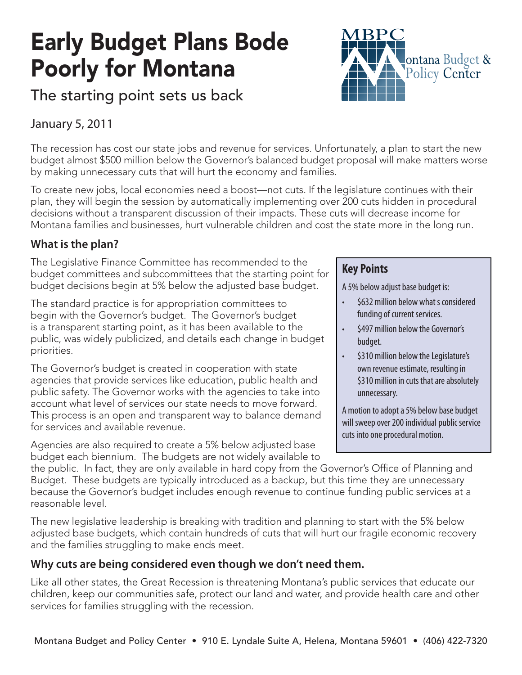# Early Budget Plans Bode Poorly for Montana

The starting point sets us back

# January 5, 2011

The recession has cost our state jobs and revenue for services. Unfortunately, a plan to start the new budget almost \$500 million below the Governor's balanced budget proposal will make matters worse by making unnecessary cuts that will hurt the economy and families.

To create new jobs, local economies need a boost—not cuts. If the legislature continues with their plan, they will begin the session by automatically implementing over 200 cuts hidden in procedural decisions without a transparent discussion of their impacts. These cuts will decrease income for Montana families and businesses, hurt vulnerable children and cost the state more in the long run.

# **What is the plan?**

The Legislative Finance Committee has recommended to the budget committees and subcommittees that the starting point for budget decisions begin at 5% below the adjusted base budget.

The standard practice is for appropriation committees to begin with the Governor's budget. The Governor's budget is a transparent starting point, as it has been available to the public, was widely publicized, and details each change in budget priorities.

The Governor's budget is created in cooperation with state agencies that provide services like education, public health and public safety. The Governor works with the agencies to take into account what level of services our state needs to move forward. This process is an open and transparent way to balance demand for services and available revenue.

Agencies are also required to create a 5% below adjusted base budget each biennium. The budgets are not widely available to

## **Key Points**

A 5% below adjust base budget is:

- \$632 million below what s considered funding of current services.
- \$497 million below the Governor's budget.
- \$310 million below the Legislature's own revenue estimate, resulting in \$310 million in cuts that are absolutely unnecessary.

A motion to adopt a 5% below base budget will sweep over 200 individual public service cuts into one procedural motion.

the public. In fact, they are only available in hard copy from the Governor's Office of Planning and Budget. These budgets are typically introduced as a backup, but this time they are unnecessary because the Governor's budget includes enough revenue to continue funding public services at a reasonable level.

The new legislative leadership is breaking with tradition and planning to start with the 5% below adjusted base budgets, which contain hundreds of cuts that will hurt our fragile economic recovery and the families struggling to make ends meet.

### **Why cuts are being considered even though we don't need them.**

Like all other states, the Great Recession is threatening Montana's public services that educate our children, keep our communities safe, protect our land and water, and provide health care and other services for families struggling with the recession.

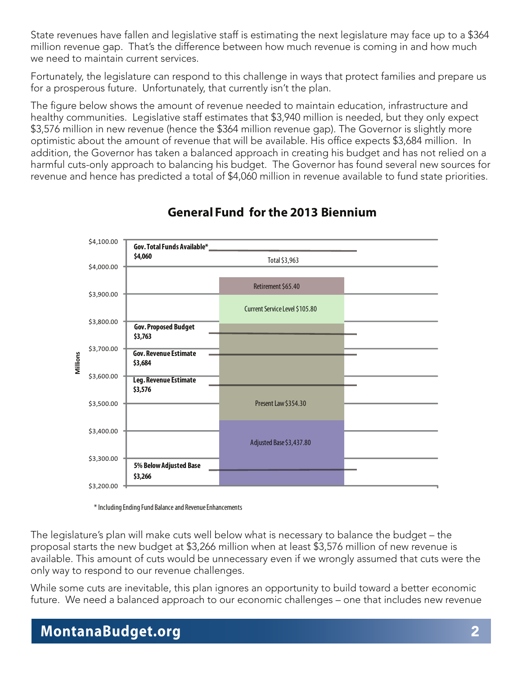State revenues have fallen and legislative staff is estimating the next legislature may face up to a \$364 million revenue gap. That's the difference between how much revenue is coming in and how much we need to maintain current services.

Fortunately, the legislature can respond to this challenge in ways that protect families and prepare us for a prosperous future. Unfortunately, that currently isn't the plan.

The figure below shows the amount of revenue needed to maintain education, infrastructure and healthy communities. Legislative staff estimates that \$3,940 million is needed, but they only expect \$3,576 million in new revenue (hence the \$364 million revenue gap). The Governor is slightly more optimistic about the amount of revenue that will be available. His office expects \$3,684 million. In addition, the Governor has taken a balanced approach in creating his budget and has not relied on a harmful cuts-only approach to balancing his budget. The Governor has found several new sources for revenue and hence has predicted a total of \$4,060 million in revenue available to fund state priorities.



# **General Fund for the 2013 Biennium**

\* Including Ending Fund Balance and Revenue Enhancements

The legislature's plan will make cuts well below what is necessary to balance the budget – the proposal starts the new budget at \$3,266 million when at least \$3,576 million of new revenue is available. This amount of cuts would be unnecessary even if we wrongly assumed that cuts were the only way to respond to our revenue challenges.

While some cuts are inevitable, this plan ignores an opportunity to build toward a better economic future. We need a balanced approach to our economic challenges – one that includes new revenue

# **MontanaBudget.org** 2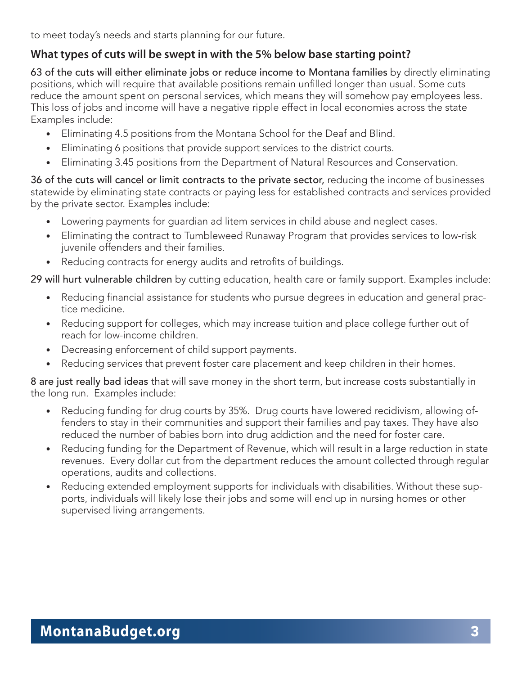to meet today's needs and starts planning for our future.

## **What types of cuts will be swept in with the 5% below base starting point?**

63 of the cuts will either eliminate jobs or reduce income to Montana families by directly eliminating positions, which will require that available positions remain unfilled longer than usual. Some cuts reduce the amount spent on personal services, which means they will somehow pay employees less. This loss of jobs and income will have a negative ripple effect in local economies across the state Examples include:

- Eliminating 4.5 positions from the Montana School for the Deaf and Blind.
- Eliminating 6 positions that provide support services to the district courts.
- Eliminating 3.45 positions from the Department of Natural Resources and Conservation.

36 of the cuts will cancel or limit contracts to the private sector, reducing the income of businesses statewide by eliminating state contracts or paying less for established contracts and services provided by the private sector. Examples include:

- Lowering payments for guardian ad litem services in child abuse and neglect cases.
- Eliminating the contract to Tumbleweed Runaway Program that provides services to low-risk juvenile offenders and their families.
- Reducing contracts for energy audits and retrofits of buildings.

29 will hurt vulnerable children by cutting education, health care or family support. Examples include:

- Reducing financial assistance for students who pursue degrees in education and general practice medicine.
- Reducing support for colleges, which may increase tuition and place college further out of reach for low-income children.
- Decreasing enforcement of child support payments.
- Reducing services that prevent foster care placement and keep children in their homes.

8 are just really bad ideas that will save money in the short term, but increase costs substantially in the long run. Examples include:

- Reducing funding for drug courts by 35%. Drug courts have lowered recidivism, allowing offenders to stay in their communities and support their families and pay taxes. They have also reduced the number of babies born into drug addiction and the need for foster care.
- Reducing funding for the Department of Revenue, which will result in a large reduction in state revenues. Every dollar cut from the department reduces the amount collected through regular operations, audits and collections.
- Reducing extended employment supports for individuals with disabilities. Without these supports, individuals will likely lose their jobs and some will end up in nursing homes or other supervised living arrangements.